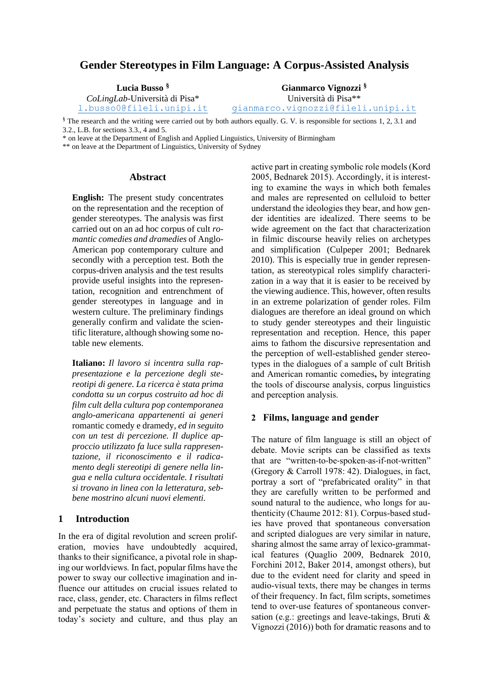# **Gender Stereotypes in Film Language: A Corpus-Assisted Analysis**

| Lucia Busso <sup>§</sup>              | Gianmarco Vignozzi <sup>§</sup>    |
|---------------------------------------|------------------------------------|
| <i>CoLingLab</i> -Università di Pisa* | Università di Pisa <sup>**</sup>   |
| 1.busso0@fileli.unipi.it              | gianmarco.vignozzi@fileli.unipi.it |

§ The research and the writing were carried out by both authors equally. G. V. is responsible for sections 1, 2, 3.1 and 3.2., L.B. for sections 3.3., 4 and 5.

\* on leave at the Department of English and Applied Linguistics, University of Birmingham

\*\* on leave at the Department of Linguistics, University of Sydney

### **Abstract**

**English:** The present study concentrates on the representation and the reception of gender stereotypes. The analysis was first carried out on an ad hoc corpus of cult *romantic comedies and dramedies* of Anglo-American pop contemporary culture and secondly with a perception test. Both the corpus-driven analysis and the test results provide useful insights into the representation, recognition and entrenchment of gender stereotypes in language and in western culture. The preliminary findings generally confirm and validate the scientific literature, although showing some notable new elements.

**Italiano:** *Il lavoro si incentra sulla rappresentazione e la percezione degli stereotipi di genere. La ricerca è stata prima condotta su un corpus costruito ad hoc di film cult della cultura pop contemporanea anglo-americana appartenenti ai generi*  romantic comedy e dramedy*, ed in seguito con un test di percezione. Il duplice approccio utilizzato fa luce sulla rappresentazione, il riconoscimento e il radicamento degli stereotipi di genere nella lingua e nella cultura occidentale. I risultati si trovano in linea con la letteratura, sebbene mostrino alcuni nuovi elementi.*

## **1 Introduction**

In the era of digital revolution and screen proliferation, movies have undoubtedly acquired, thanks to their significance, a pivotal role in shaping our worldviews*.* In fact, popular films have the power to sway our collective imagination and influence our attitudes on crucial issues related to race, class, gender, etc. Characters in films reflect and perpetuate the status and options of them in today's society and culture, and thus play an active part in creating symbolic role models (Kord 2005, Bednarek 2015). Accordingly, it is interesting to examine the ways in which both females and males are represented on celluloid to better understand the ideologies they bear, and how gender identities are idealized. There seems to be wide agreement on the fact that characterization in filmic discourse heavily relies on archetypes and simplification (Culpeper 2001; Bednarek 2010). This is especially true in gender representation, as stereotypical roles simplify characterization in a way that it is easier to be received by the viewing audience. This, however, often results in an extreme polarization of gender roles. Film dialogues are therefore an ideal ground on which to study gender stereotypes and their linguistic representation and reception. Hence, this paper aims to fathom the discursive representation and the perception of well-established gender stereotypes in the dialogues of a sample of cult British and American romantic comedies, by integrating the tools of discourse analysis, corpus linguistics and perception analysis.

# 2 Films, language and gender

The nature of film language is still an object of debate. Movie scripts can be classified as texts that are "written‐to‐be‐spoken‐as‐if‐not‐written" (Gregory & Carroll 1978: 42). Dialogues, in fact, portray a sort of "prefabricated orality" in that they are carefully written to be performed and sound natural to the audience, who longs for authenticity (Chaume 2012: 81). Corpus-based studies have proved that spontaneous conversation and scripted dialogues are very similar in nature, sharing almost the same array of lexico-grammatical features (Quaglio 2009, Bednarek 2010, Forchini 2012, Baker 2014, amongst others), but due to the evident need for clarity and speed in audio-visual texts, there may be changes in terms of their frequency. In fact, film scripts, sometimes tend to over-use features of spontaneous conversation (e.g.: greetings and leave-takings, Bruti & Vignozzi (2016)) both for dramatic reasons and to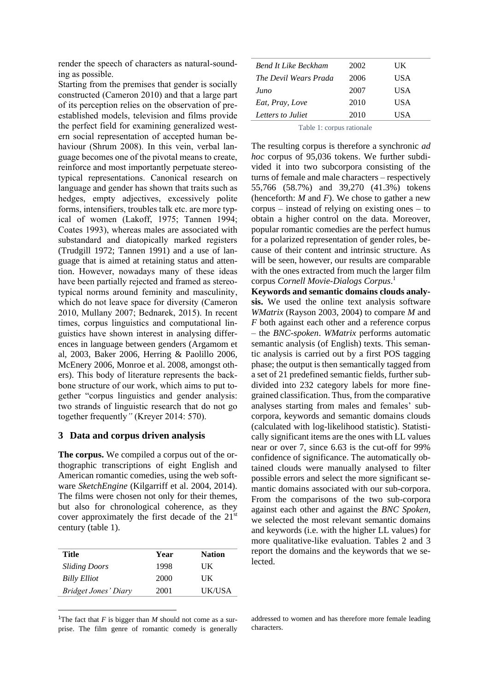render the speech of characters as natural-sounding as possible.

Starting from the premises that gender is socially constructed (Cameron 2010) and that a large part of its perception relies on the observation of preestablished models, television and films provide the perfect field for examining generalized western social representation of accepted human behaviour (Shrum 2008). In this vein, verbal language becomes one of the pivotal means to create, reinforce and most importantly perpetuate stereotypical representations. Canonical research on language and gender has shown that traits such as hedges, empty adjectives, excessively polite forms, intensifiers, troubles talk etc. are more typical of women (Lakoff, 1975; Tannen 1994; Coates 1993), whereas males are associated with substandard and diatopically marked registers (Trudgill 1972; Tannen 1991) and a use of language that is aimed at retaining status and attention. However, nowadays many of these ideas have been partially rejected and framed as stereotypical norms around feminity and masculinity, which do not leave space for diversity (Cameron 2010, Mullany 2007; Bednarek, 2015). In recent times, corpus linguistics and computational linguistics have shown interest in analysing differences in language between genders (Argamom et al, 2003, Baker 2006, Herring & Paolillo 2006, McEnery 2006, Monroe et al. 2008, amongst others). This body of literature represents the backbone structure of our work, which aims to put together "corpus linguistics and gender analysis: two strands of linguistic research that do not go together frequently*"* (Kreyer 2014: 570).

# **3 Data and corpus driven analysis**

**The corpus.** We compiled a corpus out of the orthographic transcriptions of eight English and American romantic comedies, using the web software *SketchEngine* (Kilgarriff et al. 2004, 2014). The films were chosen not only for their themes, but also for chronological coherence, as they cover approximately the first decade of the  $21<sup>st</sup>$ century (table 1).

| Title                | Year | <b>Nation</b> |
|----------------------|------|---------------|
| <b>Sliding Doors</b> | 1998 | UК            |
| <b>Billy Elliot</b>  | 2000 | UК            |
| Bridget Jones' Diary | 2001 | UK/USA        |

<sup>1</sup>The fact that  $F$  is bigger than  $M$  should not come as a surprise. The film genre of romantic comedy is generally

| <b>Bend It Like Beckham</b> | 2002 | UК   |
|-----------------------------|------|------|
| The Devil Wears Prada       | 2006 | USA  |
| Juno                        | 2007 | USA  |
| Eat, Pray, Love             | 2010 | USA  |
| Letters to Juliet           | 2010 | HS A |

Table 1: corpus rationale

The resulting corpus is therefore a synchronic *ad hoc* corpus of 95,036 tokens. We further subdivided it into two subcorpora consisting of the turns of female and male characters – respectively 55,766 (58.7%) and 39,270 (41.3%) tokens (henceforth: *M* and *F*). We chose to gather a new corpus – instead of relying on existing ones – to obtain a higher control on the data. Moreover, popular romantic comedies are the perfect humus for a polarized representation of gender roles, because of their content and intrinsic structure. As will be seen, however, our results are comparable with the ones extracted from much the larger film corpus *Cornell Movie-Dialogs Corpus*. 1

**Keywords and semantic domains clouds analysis.** We used the online text analysis software *WMatrix* (Rayson 2003, 2004) to compare *M* and *F* both against each other and a reference corpus – the *BNC-spoken*. *WMatrix* performs automatic semantic analysis (of English) texts. This semantic analysis is carried out by a first POS tagging phase; the output is then semantically tagged from a set of 21 predefined semantic fields, further subdivided into 232 category labels for more finegrained classification. Thus, from the comparative analyses starting from males and females' subcorpora, keywords and semantic domains clouds (calculated with log-likelihood statistic). Statistically significant items are the ones with LL values near or over 7, since 6.63 is the cut-off for 99% confidence of significance. The automatically obtained clouds were manually analysed to filter possible errors and select the more significant semantic domains associated with our sub-corpora. From the comparisons of the two sub-corpora against each other and against the *BNC Spoken,* we selected the most relevant semantic domains and keywords (i.e. with the higher LL values) for more qualitative-like evaluation. Tables 2 and 3 report the domains and the keywords that we selected.

#### addressed to women and has therefore more female leading characters.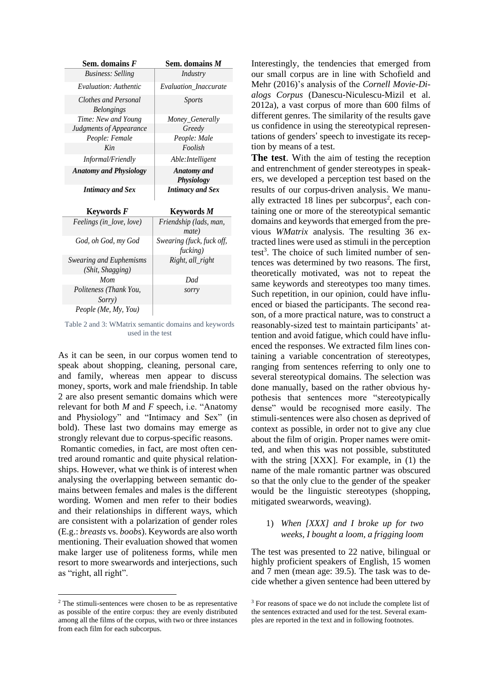| Sem. domains F                            | Sem. domains M                        |
|-------------------------------------------|---------------------------------------|
| <b>Business: Selling</b>                  | Industry                              |
| Evaluation: Authentic                     | <b>Evaluation Inaccurate</b>          |
| Clothes and Personal<br><b>Belongings</b> | <i>Sports</i>                         |
| Time: New and Young                       | Money_Generally                       |
| Judgments of Appearance                   | Greedy                                |
| People: Female                            | People: Male                          |
| Kin                                       | Foolish                               |
| Informal/Friendly                         | Able: Intelligent                     |
| <b>Anatomy and Physiology</b>             | <b>Anatomy</b> and<br>Physiology      |
|                                           |                                       |
| <b>Intimacy and Sex</b>                   | <b>Intimacy and Sex</b>               |
| Keywords F                                | <b>Keywords</b> M                     |
| Feelings (in_love, love)                  | Friendship (lads, man,<br>mate)       |
| God, oh God, my God                       | Swearing (fuck, fuck off,<br>fucking) |
| <b>Swearing and Euphemisms</b>            | Right, all_right                      |
| (Shit, Shagging)<br>Mom                   | Dad                                   |
| Politeness (Thank You,<br><i>Sorry</i> )  | sorry                                 |

Table 2 and 3: WMatrix semantic domains and keywords used in the test

As it can be seen, in our corpus women tend to speak about shopping, cleaning, personal care, and family, whereas men appear to discuss money, sports, work and male friendship. In table 2 are also present semantic domains which were relevant for both *M* and *F* speech, i.e. "Anatomy and Physiology" and "Intimacy and Sex" (in bold). These last two domains may emerge as strongly relevant due to corpus-specific reasons.

Romantic comedies, in fact, are most often centred around romantic and quite physical relationships. However, what we think is of interest when analysing the overlapping between semantic domains between females and males is the different wording. Women and men refer to their bodies and their relationships in different ways, which are consistent with a polarization of gender roles (E.g.: *breasts* vs. *boobs*). Keywords are also worth mentioning. Their evaluation showed that women make larger use of politeness forms, while men resort to more swearwords and interjections, such as "right, all right".

<sup>2</sup> The stimuli-sentences were chosen to be as representative as possible of the entire corpus: they are evenly distributed among all the films of the corpus, with two or three instances from each film for each subcorpus.

Interestingly, the tendencies that emerged from our small corpus are in line with Schofield and Mehr (2016)'s analysis of the *Cornell Movie-Dialogs Corpus* (Danescu-Niculescu-Mizil et al. 2012a), a vast corpus of more than 600 films of different genres. The similarity of the results gave us confidence in using the stereotypical representations of genders' speech to investigate its reception by means of a test.

**The test**. With the aim of testing the reception and entrenchment of gender stereotypes in speakers, we developed a perception test based on the results of our corpus-driven analysis. We manually extracted 18 lines per subcorpus<sup>2</sup>, each containing one or more of the stereotypical semantic domains and keywords that emerged from the previous *WMatrix* analysis. The resulting 36 extracted lines were used as stimuli in the perception test<sup>3</sup>. The choice of such limited number of sentences was determined by two reasons. The first, theoretically motivated, was not to repeat the same keywords and stereotypes too many times. Such repetition, in our opinion, could have influenced or biased the participants. The second reason, of a more practical nature, was to construct a reasonably-sized test to maintain participants' attention and avoid fatigue, which could have influenced the responses. We extracted film lines containing a variable concentration of stereotypes, ranging from sentences referring to only one to several stereotypical domains. The selection was done manually, based on the rather obvious hypothesis that sentences more "stereotypically dense" would be recognised more easily. The stimuli-sentences were also chosen as deprived of context as possible, in order not to give any clue about the film of origin. Proper names were omitted, and when this was not possible, substituted with the string [XXX]. For example, in (1) the name of the male romantic partner was obscured so that the only clue to the gender of the speaker would be the linguistic stereotypes (shopping, mitigated swearwords, weaving).

### 1) *When [XXX] and I broke up for two weeks, I bought a loom, a frigging loom*

The test was presented to 22 native, bilingual or highly proficient speakers of English, 15 women and 7 men (mean age: 39.5). The task was to decide whether a given sentence had been uttered by

<sup>&</sup>lt;sup>3</sup> For reasons of space we do not include the complete list of the sentences extracted and used for the test. Several examples are reported in the text and in following footnotes.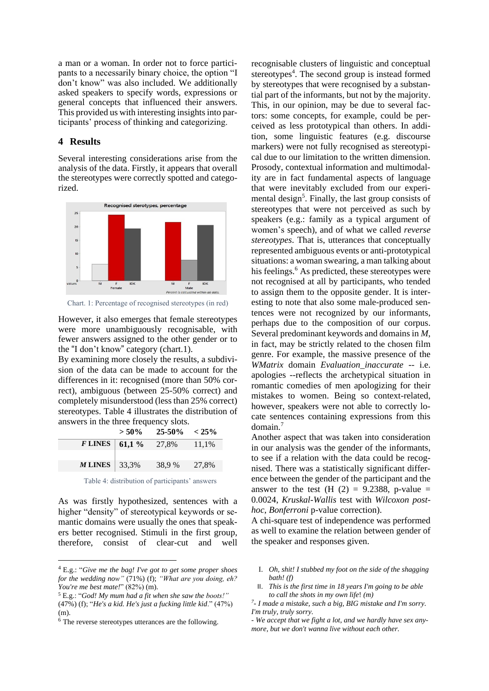a man or a woman. In order not to force participants to a necessarily binary choice, the option "I don't know" was also included. We additionally asked speakers to specify words, expressions or general concepts that influenced their answers. This provided us with interesting insights into participants' process of thinking and categorizing.

### **4 Results**

Several interesting considerations arise from the analysis of the data. Firstly, it appears that overall the stereotypes were correctly spotted and categorized.



Chart. 1: Percentage of recognised stereotypes (in red)

However, it also emerges that female stereotypes were more unambiguously recognisable, with fewer answers assigned to the other gender or to the "I don't know" category (chart.1).

By examining more closely the results, a subdivision of the data can be made to account for the differences in it: recognised (more than 50% correct), ambiguous (between 25-50% correct) and completely misunderstood (less than 25% correct) stereotypes. Table 4 illustrates the distribution of answers in the three frequency slots.

|           | $> 50\%$  | $25-50\% < 25\%$ |       |
|-----------|-----------|------------------|-------|
| $F$ LINES | 61,1 $\%$ | 27,8%            | 11,1% |
|           |           |                  |       |
| M LINES   | 33,3%     | 38.9 %           | 27,8% |

Table 4: distribution of participants' answers

As was firstly hypothesized, sentences with a higher "density" of stereotypical keywords or semantic domains were usually the ones that speakers better recognised. Stimuli in the first group, therefore, consist of clear-cut and well

recognisable clusters of linguistic and conceptual stereotypes<sup>4</sup>. The second group is instead formed by stereotypes that were recognised by a substantial part of the informants, but not by the majority. This, in our opinion, may be due to several factors: some concepts, for example, could be perceived as less prototypical than others. In addition, some linguistic features (e.g. discourse markers) were not fully recognised as stereotypical due to our limitation to the written dimension. Prosody, contextual information and multimodality are in fact fundamental aspects of language that were inevitably excluded from our experimental design<sup>5</sup>. Finally, the last group consists of stereotypes that were not perceived as such by speakers (e.g.: family as a typical argument of women's speech), and of what we called *reverse stereotypes*. That is, utterances that conceptually represented ambiguous events or anti-prototypical situations: a woman swearing, a man talking about his feelings. $<sup>6</sup>$  As predicted, these stereotypes were</sup> not recognised at all by participants, who tended to assign them to the opposite gender. It is interesting to note that also some male-produced sentences were not recognized by our informants, perhaps due to the composition of our corpus. Several predominant keywords and domains in *M*, in fact, may be strictly related to the chosen film genre. For example, the massive presence of the *WMatrix* domain *Evaluation\_inaccurate* -- i.e. apologies --reflects the archetypical situation in romantic comedies of men apologizing for their mistakes to women. Being so context-related, however, speakers were not able to correctly locate sentences containing expressions from this domain.<sup>7</sup>

Another aspect that was taken into consideration in our analysis was the gender of the informants, to see if a relation with the data could be recognised. There was a statistically significant difference between the gender of the participant and the answer to the test (H  $(2) = 9.2388$ , p-value = 0.0024, *Kruskal-Wallis* test with *Wilcoxon posthoc*, *Bonferroni* p-value correction).

A chi-square test of independence was performed as well to examine the relation between gender of the speaker and responses given.

- I. *Oh, shit! I stubbed my foot on the side of the shagging bath! (f)*
- II. *This is the first time in 18 years I'm going to be able to call the shots in my own life*! *(m)*

<sup>4</sup> E.g.: "*Give me the bag! I've got to get some proper shoes for the wedding now"* (71%) (f); *"What are you doing, eh? You're me best mate!*" (82%) (m).

<sup>5</sup> E.g.: "*God! My mum had a fit when she saw the boots!"* 

<sup>(47%)</sup> (f); "*He's a kid. He's just a fucking little kid*." (47%) (m).

<sup>6</sup> The reverse stereotypes utterances are the following.

*<sup>7</sup> - I made a mistake, such a big, BIG mistake and I'm sorry. I'm truly, truly sorry.*

*<sup>-</sup> We accept that we fight a lot, and we hardly have sex anymore, but we don't wanna live without each other.*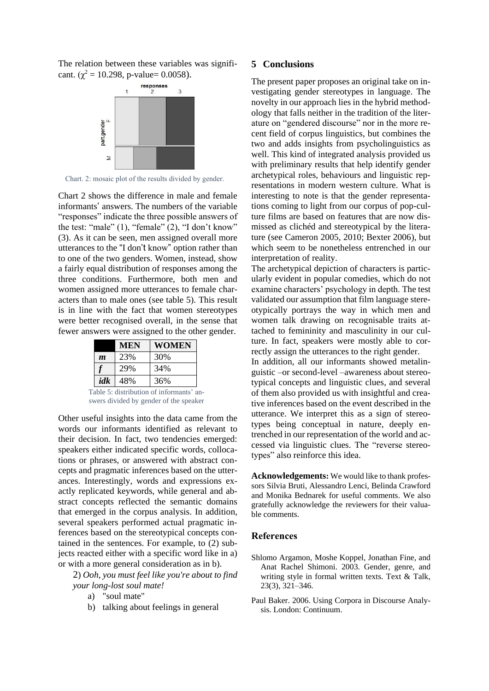The relation between these variables was significant. ( $\chi^2$  = 10.298, p-value= 0.0058).



Chart. 2: mosaic plot of the results divided by gender.

Chart 2 shows the difference in male and female informants' answers. The numbers of the variable "responses" indicate the three possible answers of the test: "male" (1), "female" (2), "I don't know" (3). As it can be seen, men assigned overall more utterances to the "I don't know" option rather than to one of the two genders. Women, instead, show a fairly equal distribution of responses among the three conditions. Furthermore, both men and women assigned more utterances to female characters than to male ones (see table 5). This result is in line with the fact that women stereotypes were better recognised overall, in the sense that fewer answers were assigned to the other gender.

|                  | <b>MEN</b> | <b>WOMEN</b> |
|------------------|------------|--------------|
| $\boldsymbol{m}$ | 23%        | 30%          |
|                  | 29%        | 34%          |
| idk              | 48%        | 36%          |

Table 5: distribution of informants' answers divided by gender of the speaker

Other useful insights into the data came from the words our informants identified as relevant to their decision. In fact, two tendencies emerged: speakers either indicated specific words, collocations or phrases, or answered with abstract concepts and pragmatic inferences based on the utterances. Interestingly, words and expressions exactly replicated keywords, while general and abstract concepts reflected the semantic domains that emerged in the corpus analysis. In addition, several speakers performed actual pragmatic inferences based on the stereotypical concepts contained in the sentences. For example, to (2) subjects reacted either with a specific word like in a) or with a more general consideration as in b).

2) *Ooh, you must feel like you're about to find your long-lost soul mate!*

- a) "soul mate"
- b) talking about feelings in general

### **5 Conclusions**

The present paper proposes an original take on investigating gender stereotypes in language. The novelty in our approach lies in the hybrid methodology that falls neither in the tradition of the literature on "gendered discourse" nor in the more recent field of corpus linguistics, but combines the two and adds insights from psycholinguistics as well. This kind of integrated analysis provided us with preliminary results that help identify gender archetypical roles, behaviours and linguistic representations in modern western culture. What is interesting to note is that the gender representations coming to light from our corpus of pop-culture films are based on features that are now dismissed as clichéd and stereotypical by the literature (see Cameron 2005, 2010; Bexter 2006), but which seem to be nonetheless entrenched in our interpretation of reality.

The archetypical depiction of characters is particularly evident in popular comedies, which do not examine characters' psychology in depth. The test validated our assumption that film language stereotypically portrays the way in which men and women talk drawing on recognisable traits attached to femininity and masculinity in our culture. In fact, speakers were mostly able to correctly assign the utterances to the right gender.

In addition, all our informants showed metalinguistic –or second-level –awareness about stereotypical concepts and linguistic clues, and several of them also provided us with insightful and creative inferences based on the event described in the utterance. We interpret this as a sign of stereotypes being conceptual in nature, deeply entrenched in our representation of the world and accessed via linguistic clues. The "reverse stereotypes" also reinforce this idea.

**Acknowledgements:** We would like to thank professors Silvia Bruti, Alessandro Lenci, Belinda Crawford and Monika Bednarek for useful comments. We also gratefully acknowledge the reviewers for their valuable comments.

### References

- Shlomo Argamon, Moshe Koppel, Jonathan Fine, and Anat Rachel Shimoni. 2003. Gender, genre, and writing style in formal written texts. Text & Talk, 23(3), 321–346.
- Paul Baker. 2006. Using Corpora in Discourse Analysis. London: Continuum.